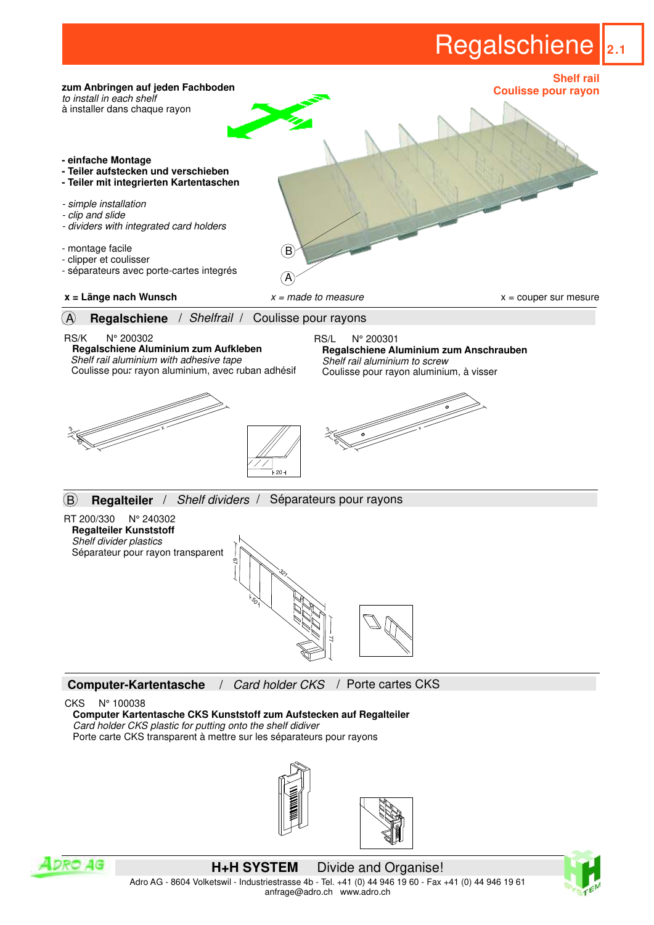## Regalschiene **2.1**







**H+H SYSTEM** Divide and Organise! Adro AG - 8604 Volketswil - Industriestrasse 4b - Tel. +41 (0) 44 946 19 60 - Fax +41 (0) 44 946 19 61 anfrage@adro.ch www.adro.ch

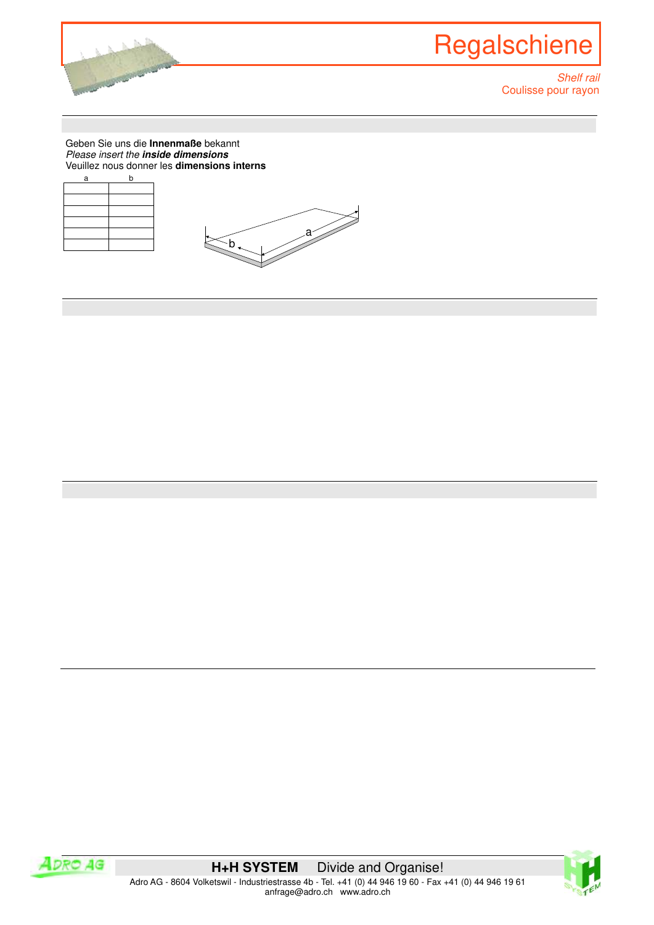

Geben Sie uns die **Innenmaße** bekannt Please insert the **inside dimensions** Veuillez nous donner les **dimensions interns**

| a | b |
|---|---|
|   |   |
|   |   |
|   |   |
|   |   |
|   |   |
|   |   |





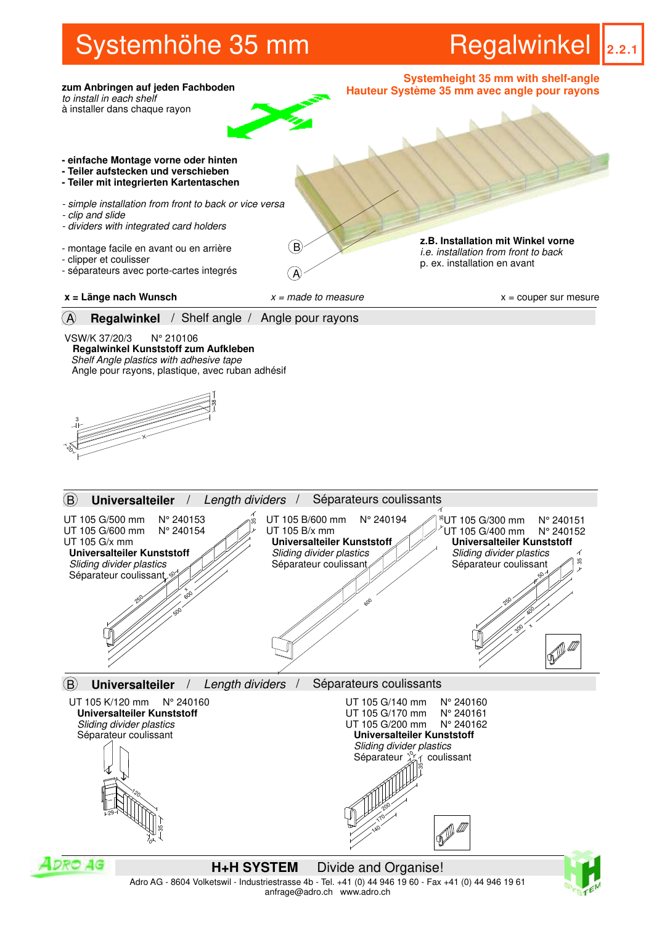## Systemhöhe 35 mm

**Regalwinkel** 2.2.1



anfrage@adro.ch www.adro.ch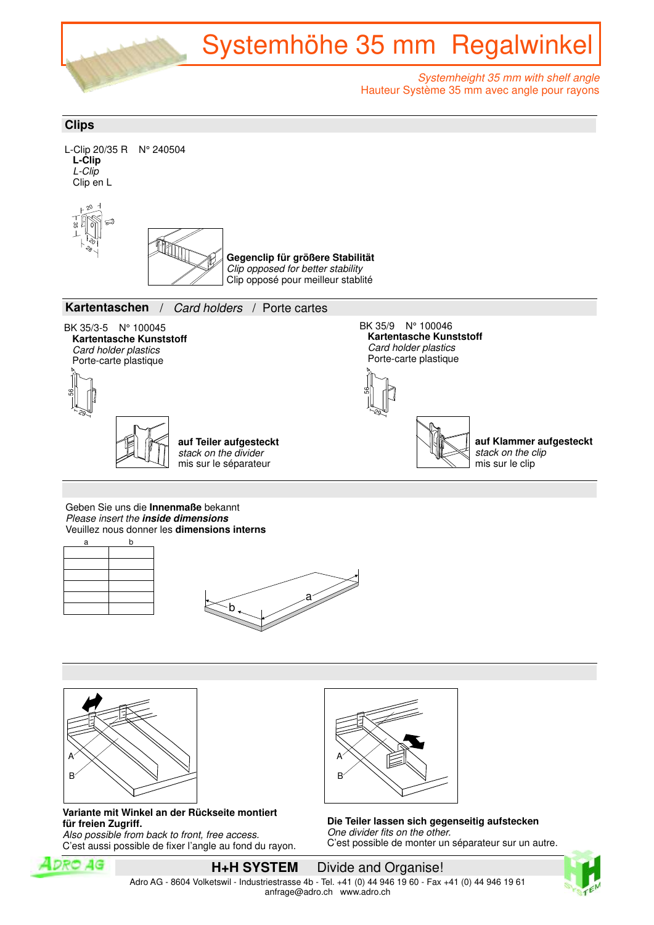

## **Clips**



Veuillez nous donner les **dimensions interns**







 **Variante mit Winkel an der Rückseite montiert für freien Zugriff.**

 Also possible from back to front, free access. C'est aussi possible de fixer l'angle au fond du rayon.



 **Die Teiler lassen sich gegenseitig aufstecken** One divider fits on the other. C'est possible de monter un séparateur sur un autre.





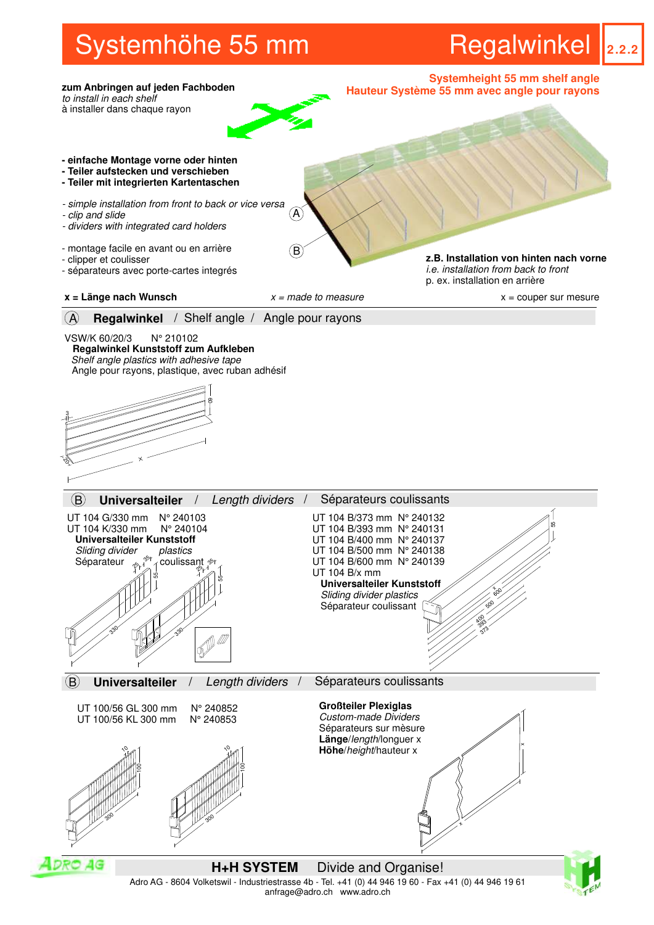## Systemhöhe 55 mm

**Regalwinkel** 2.2.2